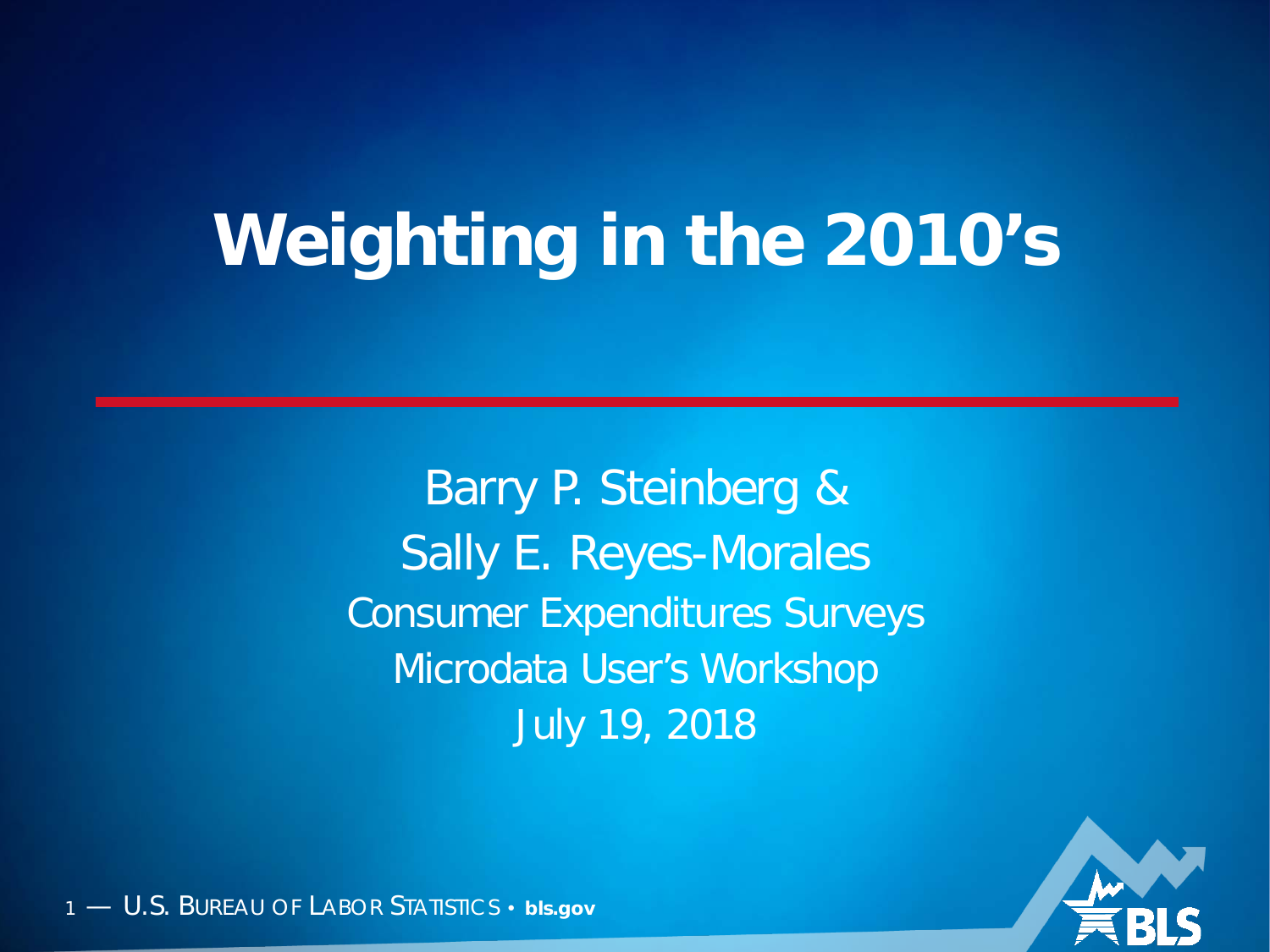#### **Weighting in the 2010's**

Barry P. Steinberg & Sally E. Reyes-Morales Consumer Expenditures Surveys Microdata User's Workshop July 19, 2018

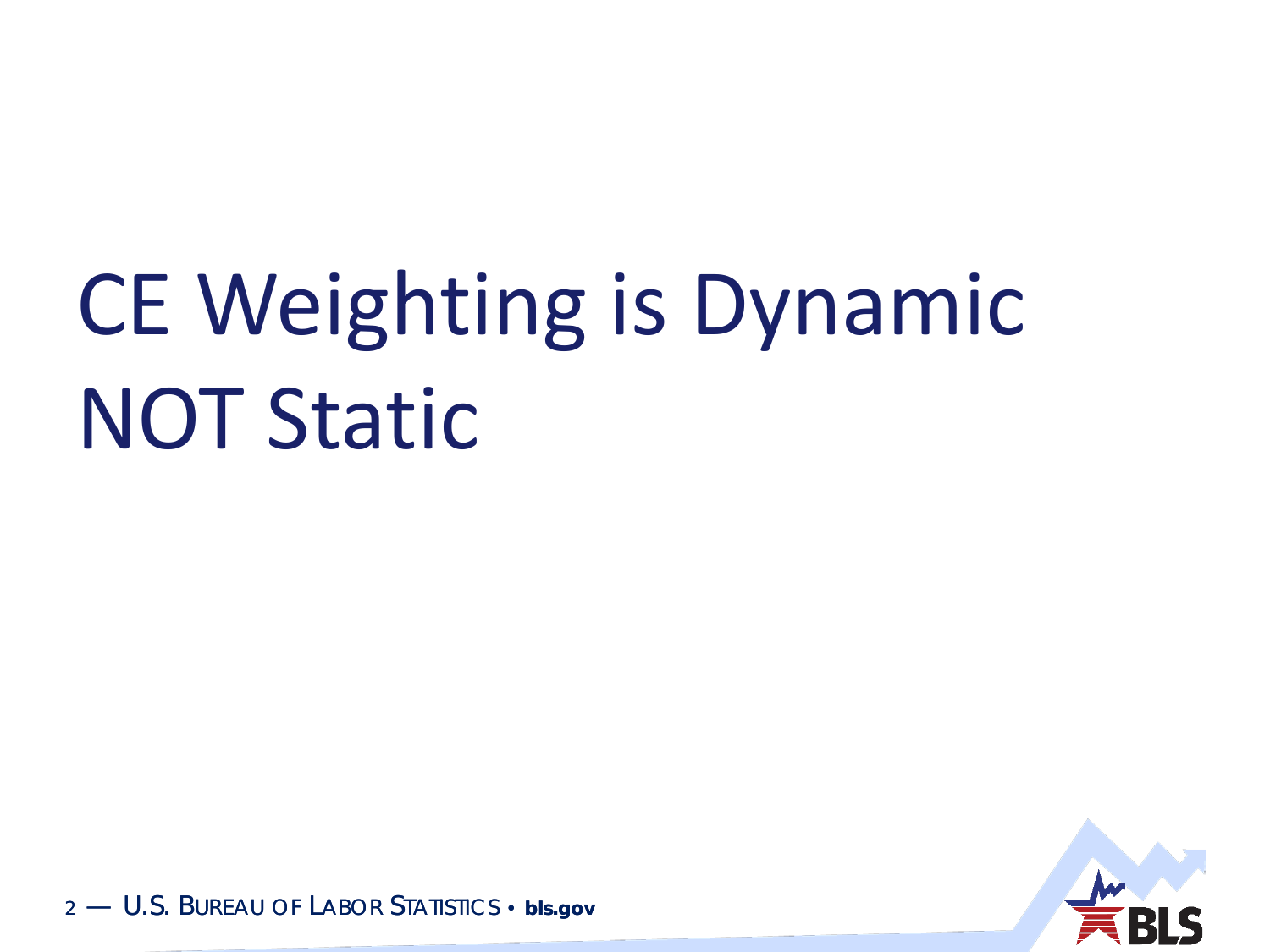## CE Weighting is Dynamic NOT Static

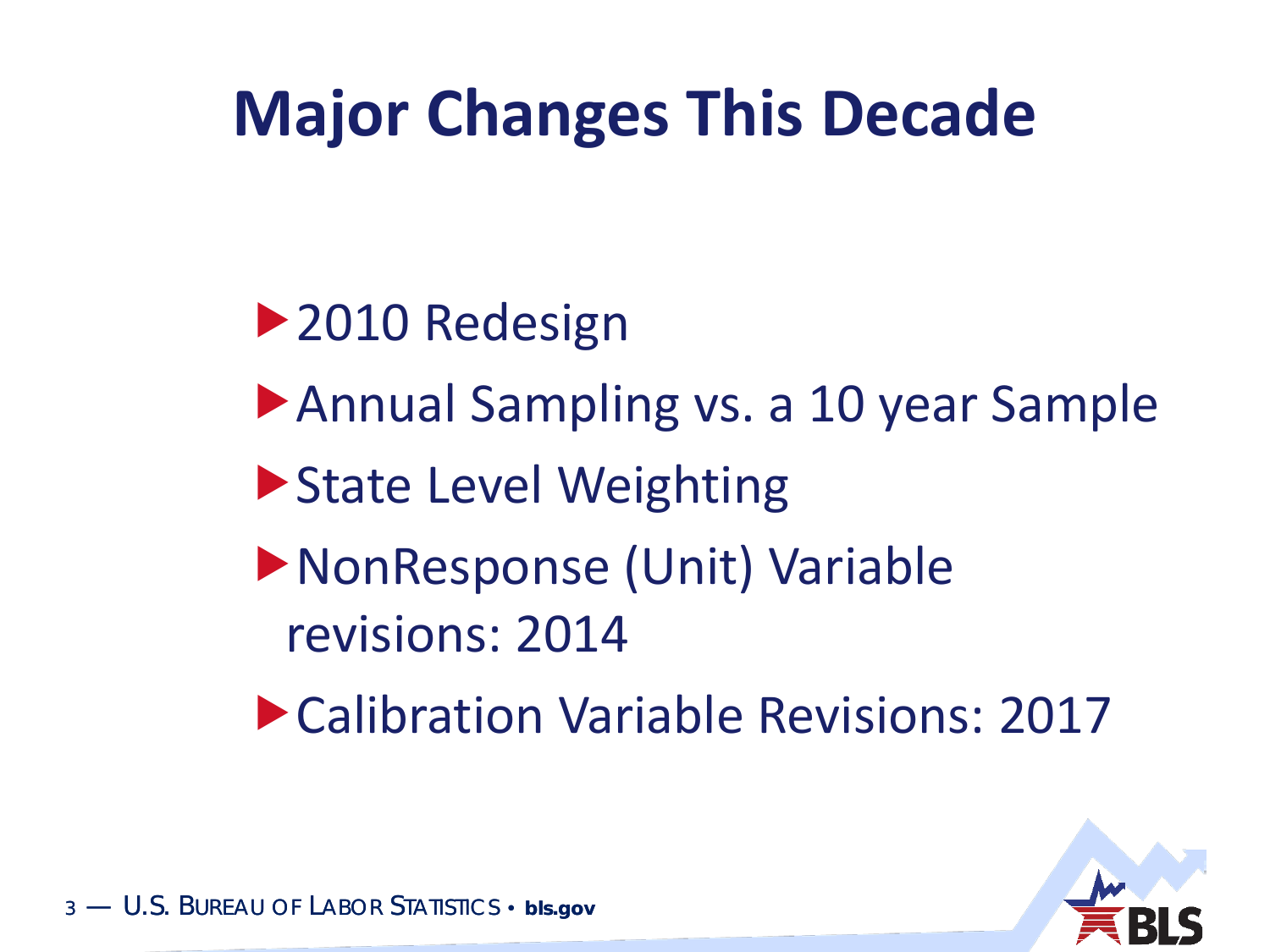#### **Major Changes This Decade**

- ▶ 2010 Redesign
- Annual Sampling vs. a 10 year Sample
- ▶ State Level Weighting
- NonResponse (Unit) Variable revisions: 2014
- Calibration Variable Revisions: 2017

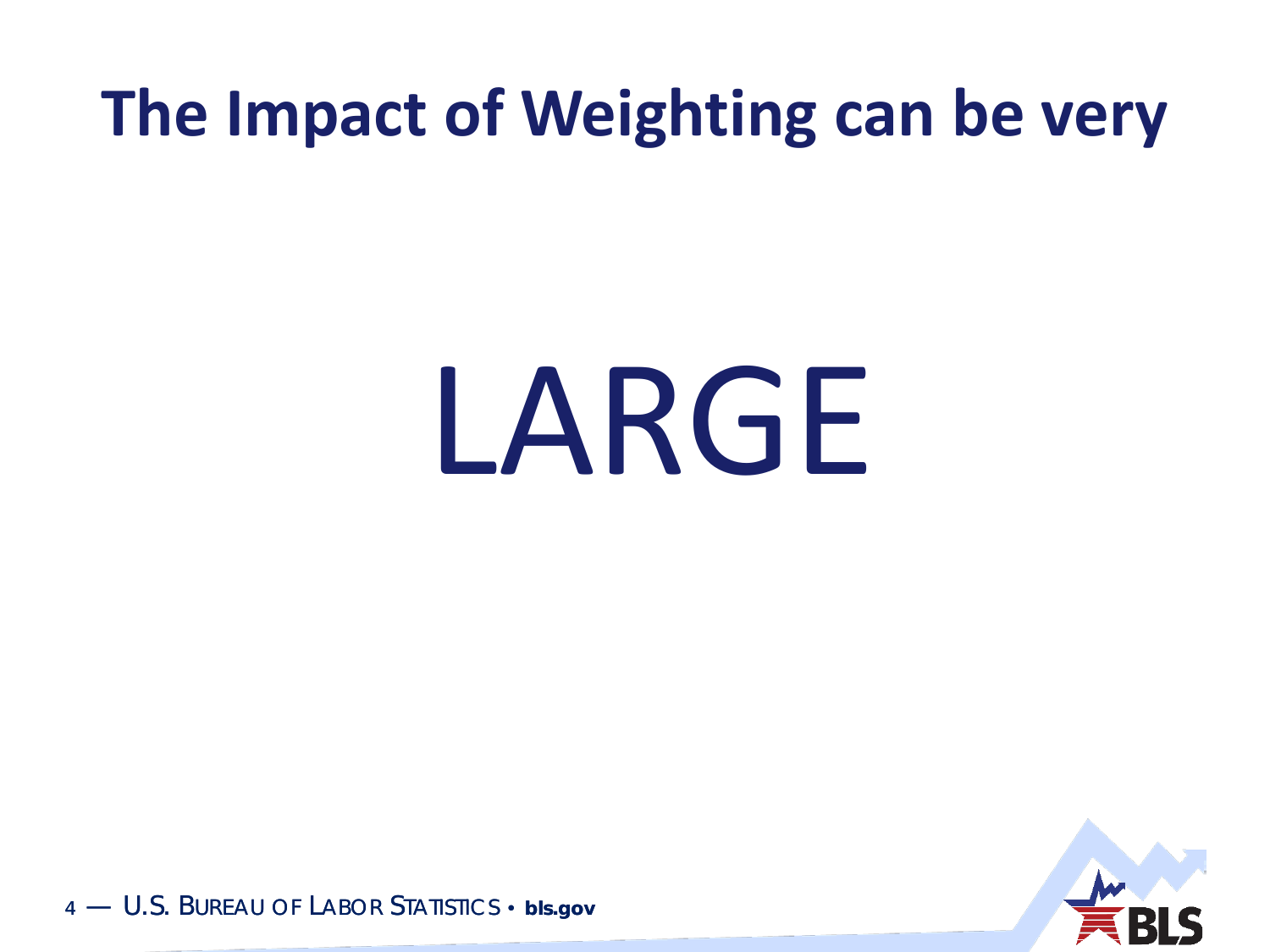#### **The Impact of Weighting can be very**

# LARGE

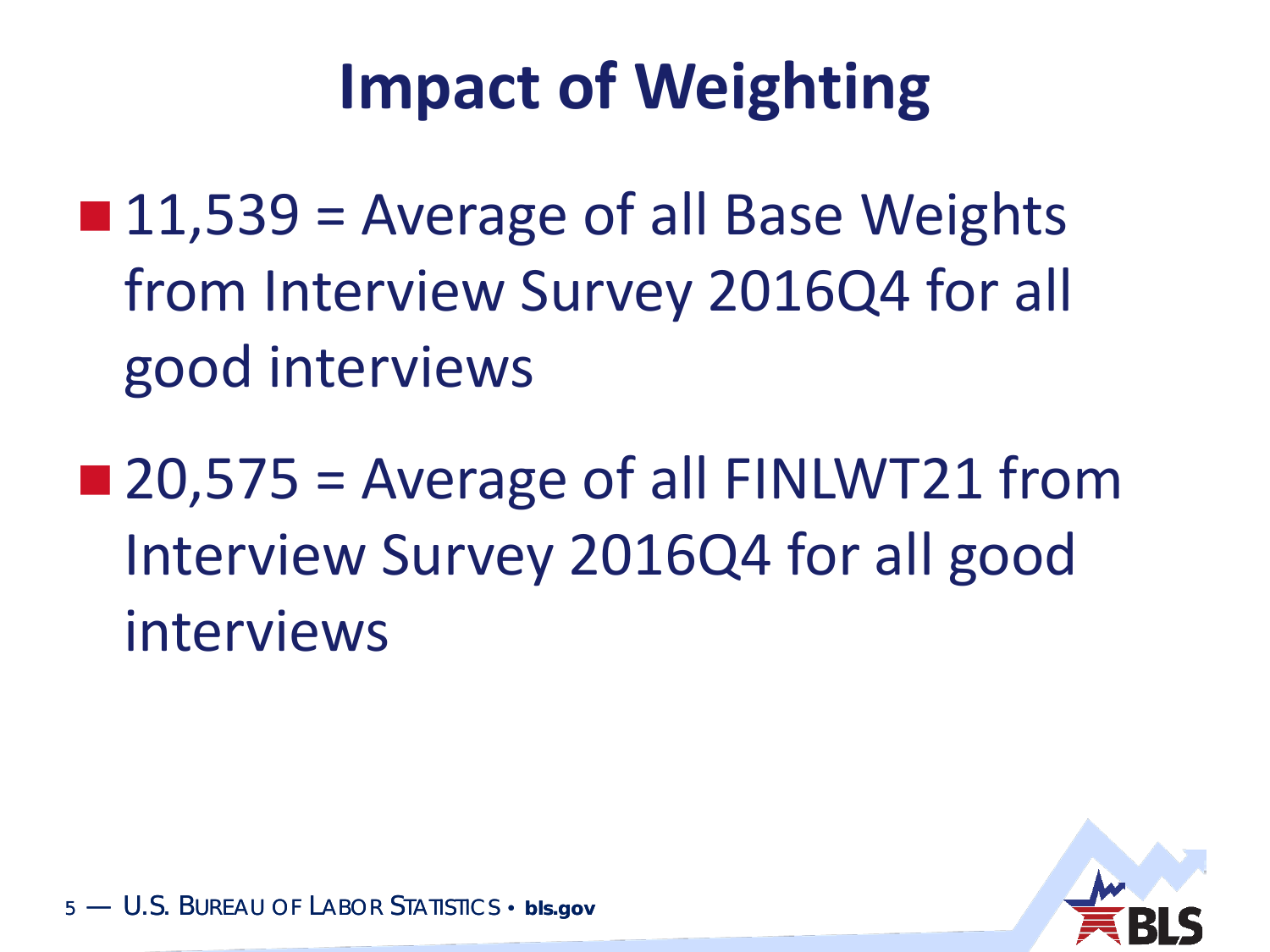#### **Impact of Weighting**

- $\blacksquare$  11,539 = Average of all Base Weights from Interview Survey 2016Q4 for all good interviews
- $\blacksquare$  20,575 = Average of all FINLWT21 from Interview Survey 2016Q4 for all good interviews

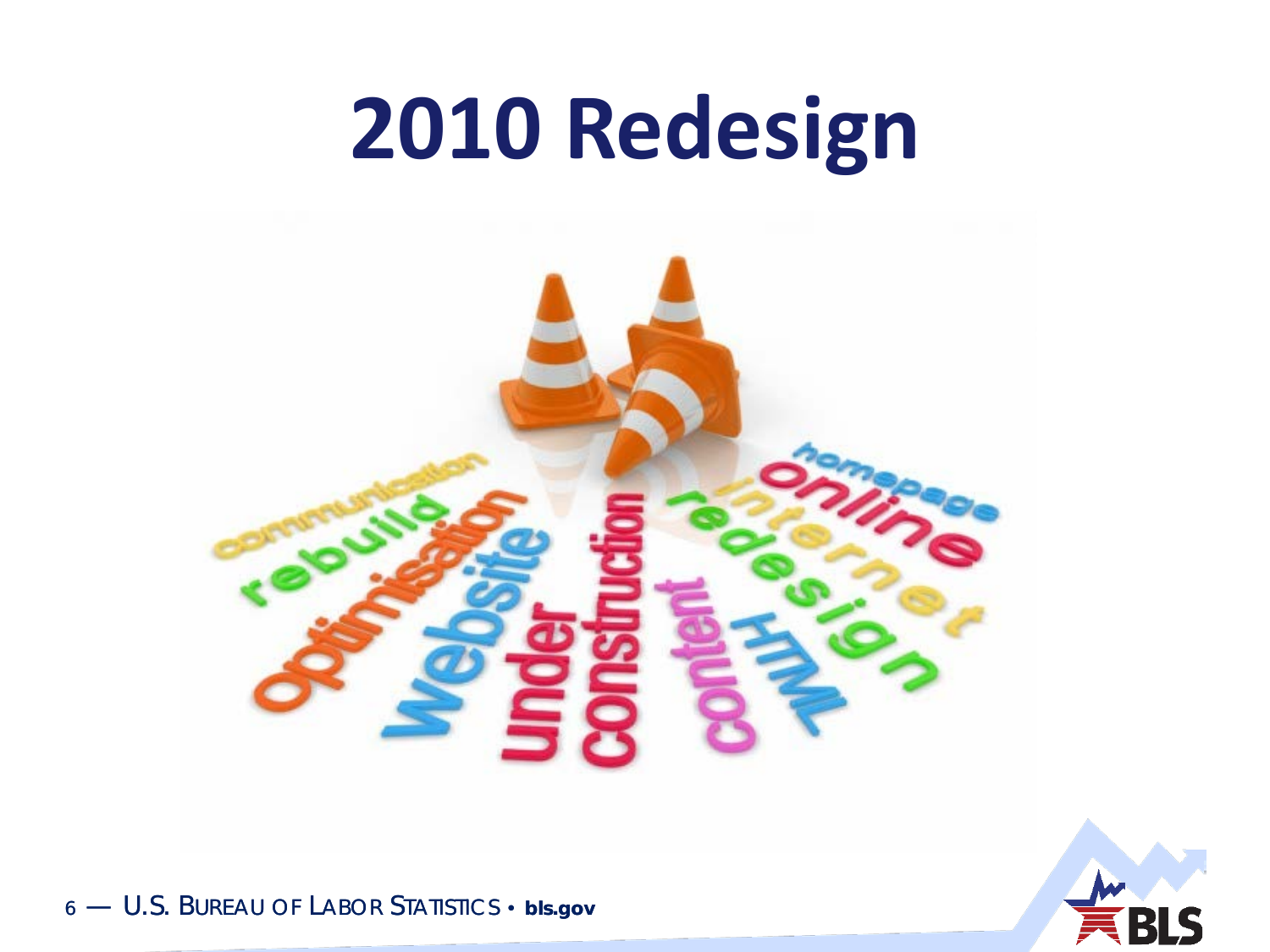### 2010 Redesign

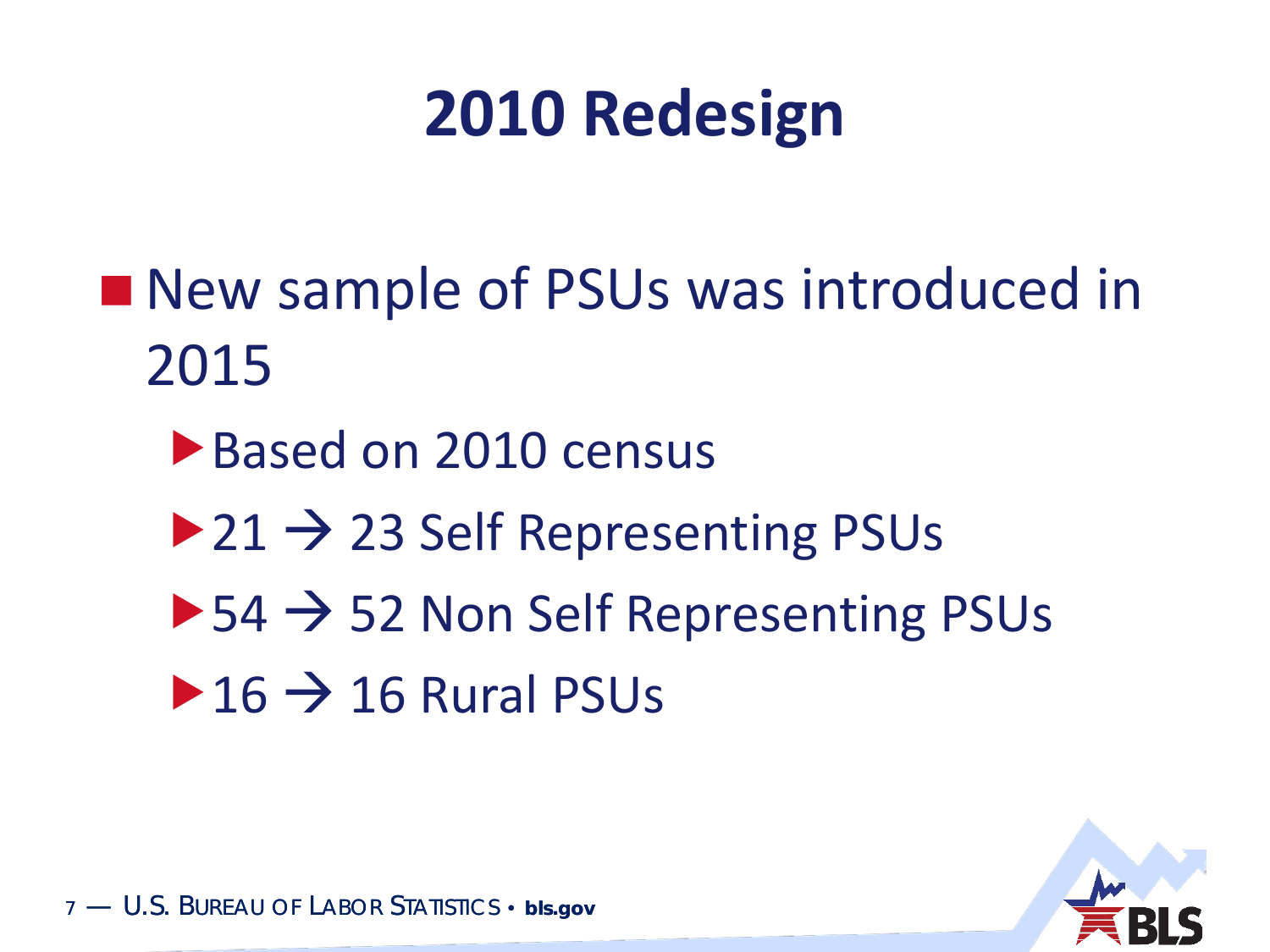#### **2010 Redesign**

- New sample of PSUs was introduced in 2015
	- ▶ Based on 2010 census
	- $\triangleright$  21  $\rightarrow$  23 Self Representing PSUs
	- $\blacktriangleright$  54  $\rightarrow$  52 Non Self Representing PSUs
	- $\triangleright$  16  $\rightarrow$  16 Rural PSUs

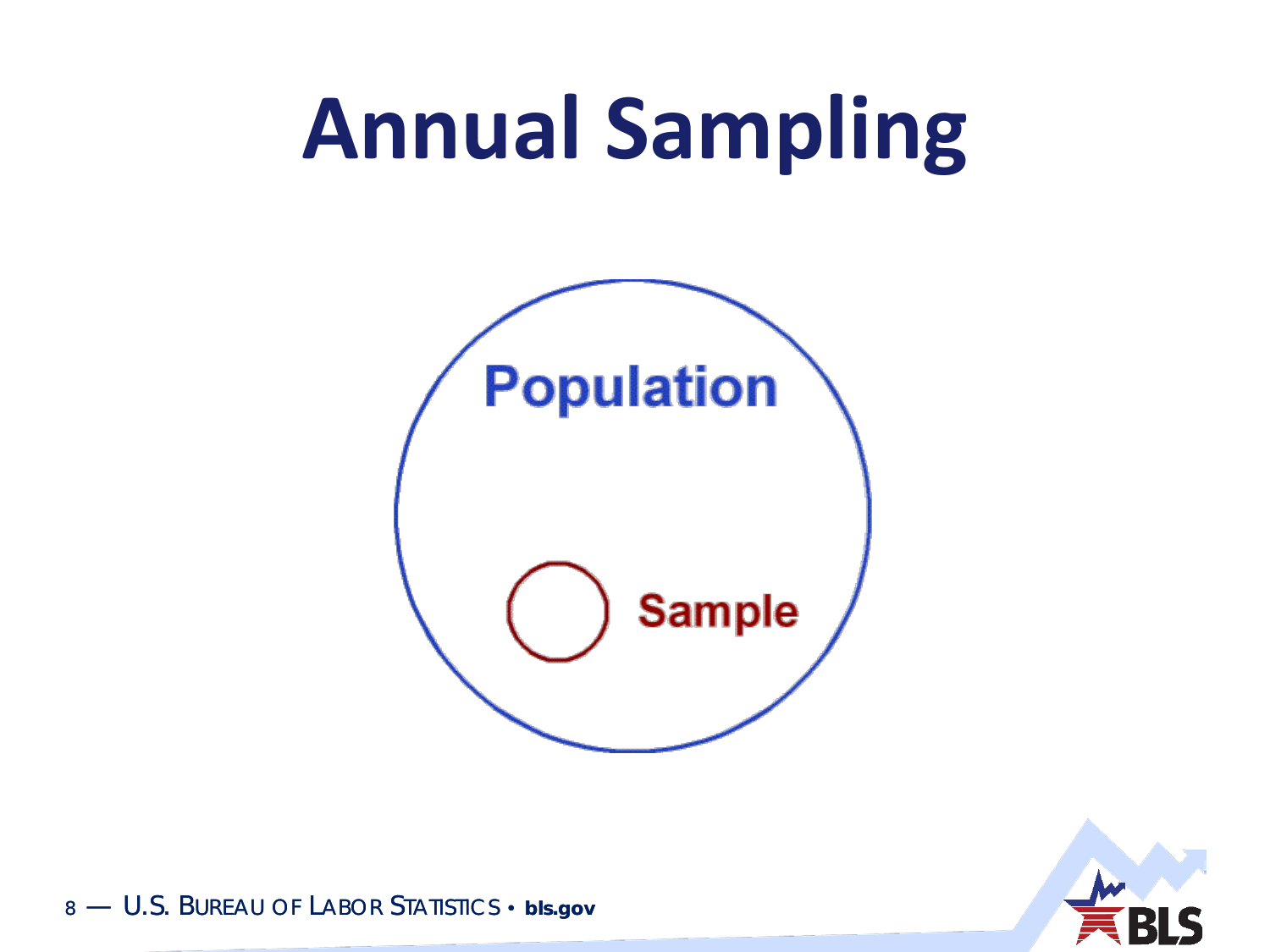## **Annual Sampling**



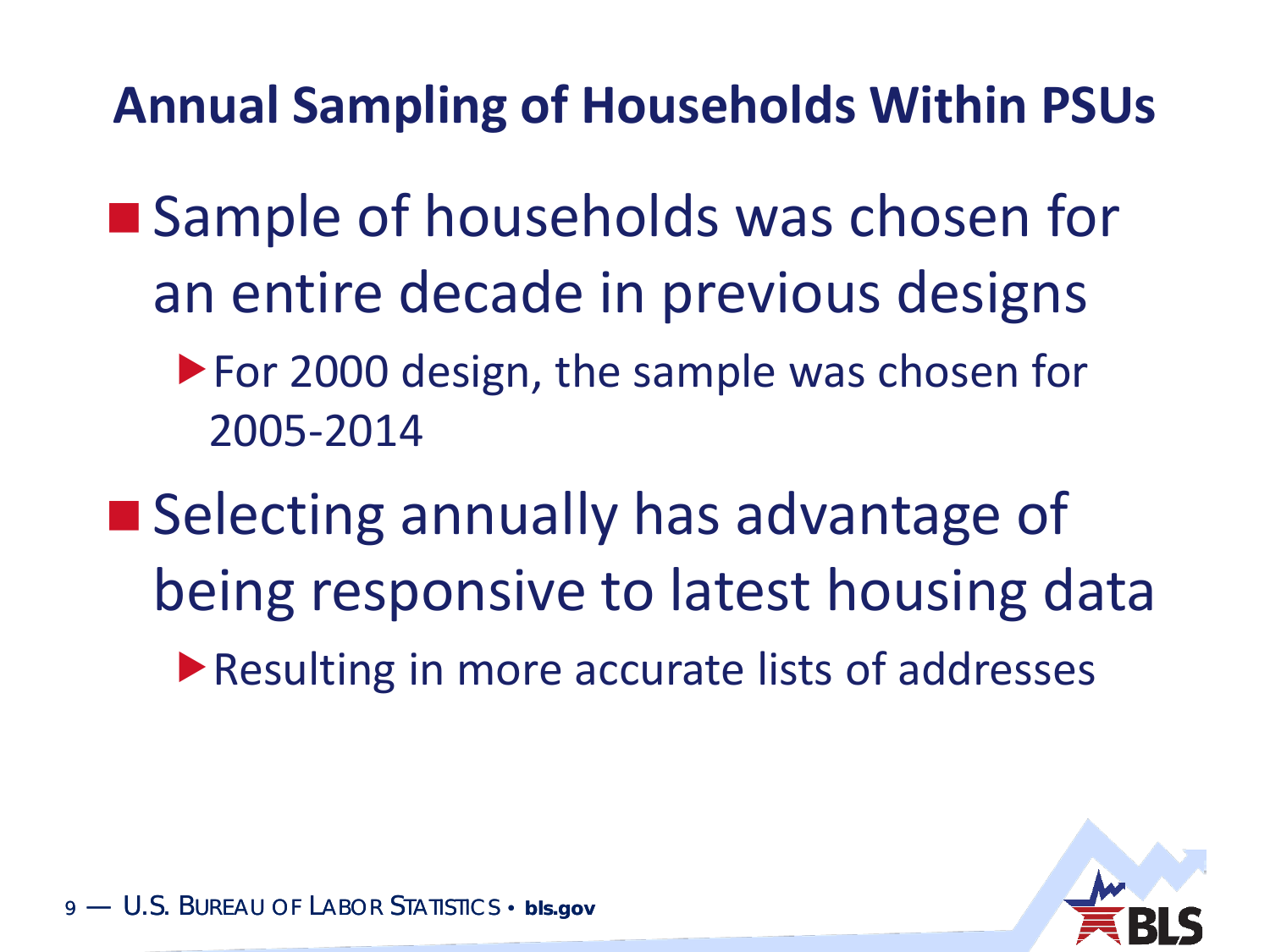**Annual Sampling of Households Within PSUs**

- Sample of households was chosen for an entire decade in previous designs
	- ▶ For 2000 design, the sample was chosen for 2005-2014
- Selecting annually has advantage of being responsive to latest housing data
	- ▶ Resulting in more accurate lists of addresses

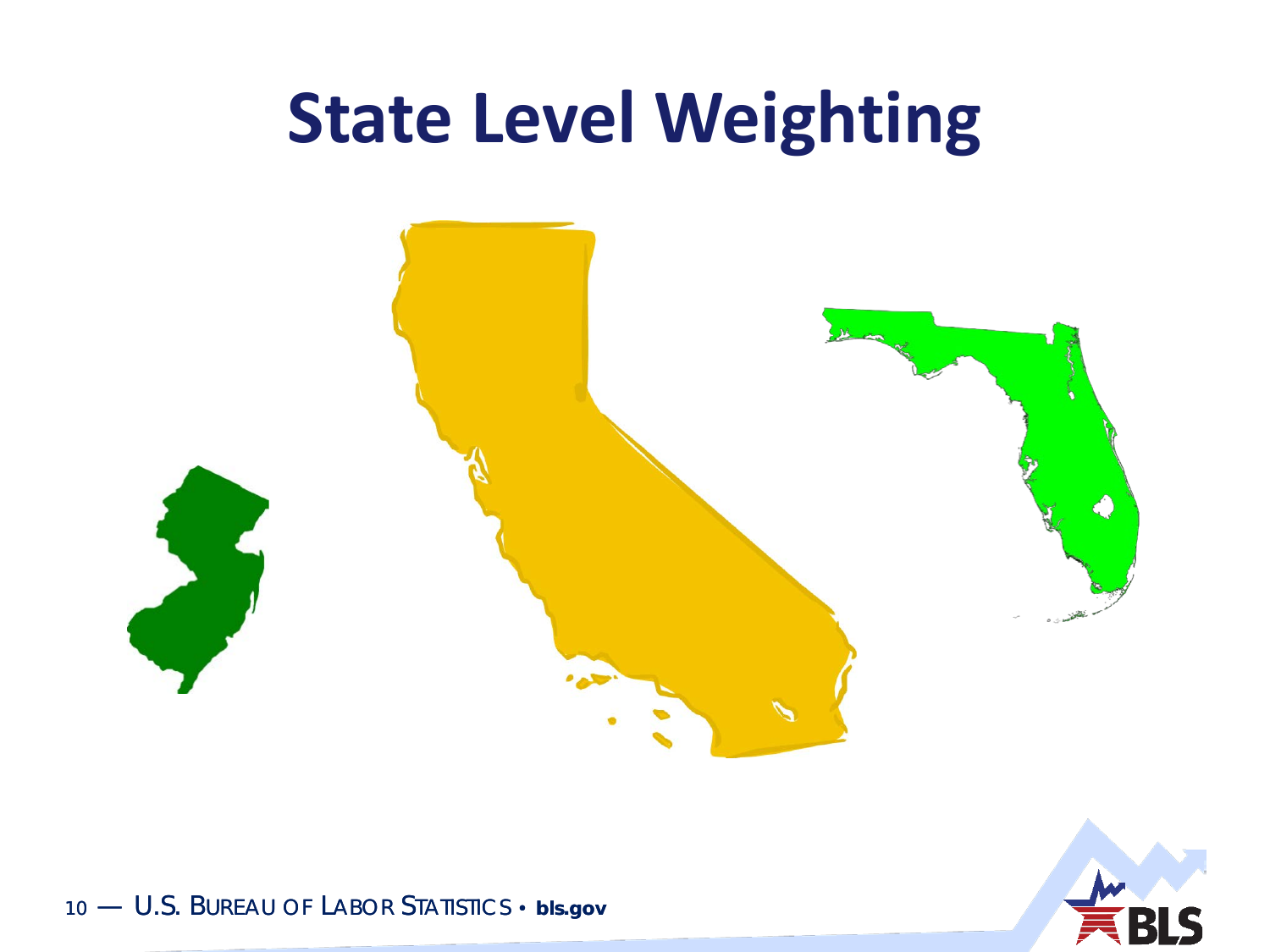#### **State Level Weighting**





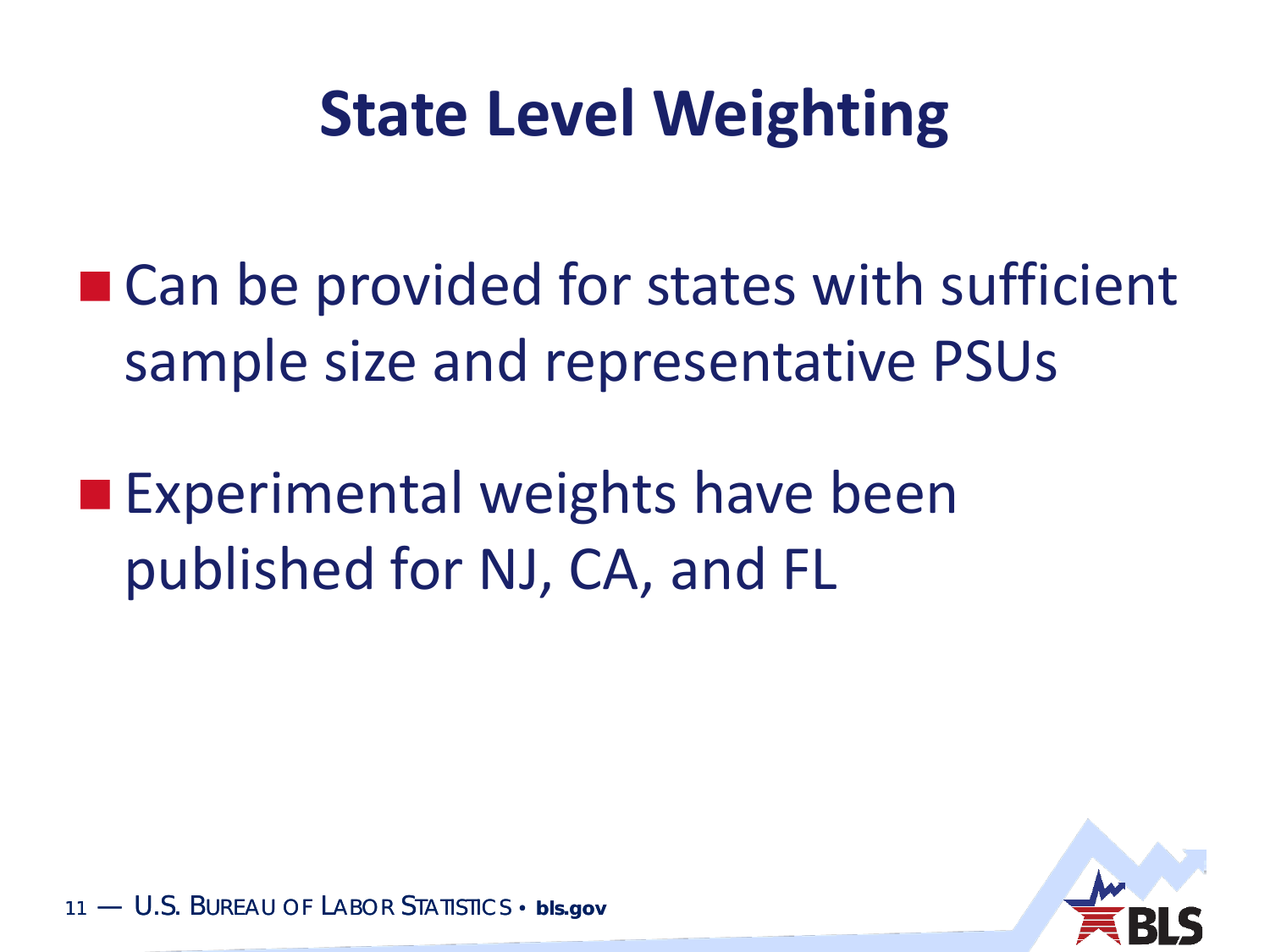#### **State Level Weighting**

■ Can be provided for states with sufficient sample size and representative PSUs

**Experimental weights have been** published for NJ, CA, and FL

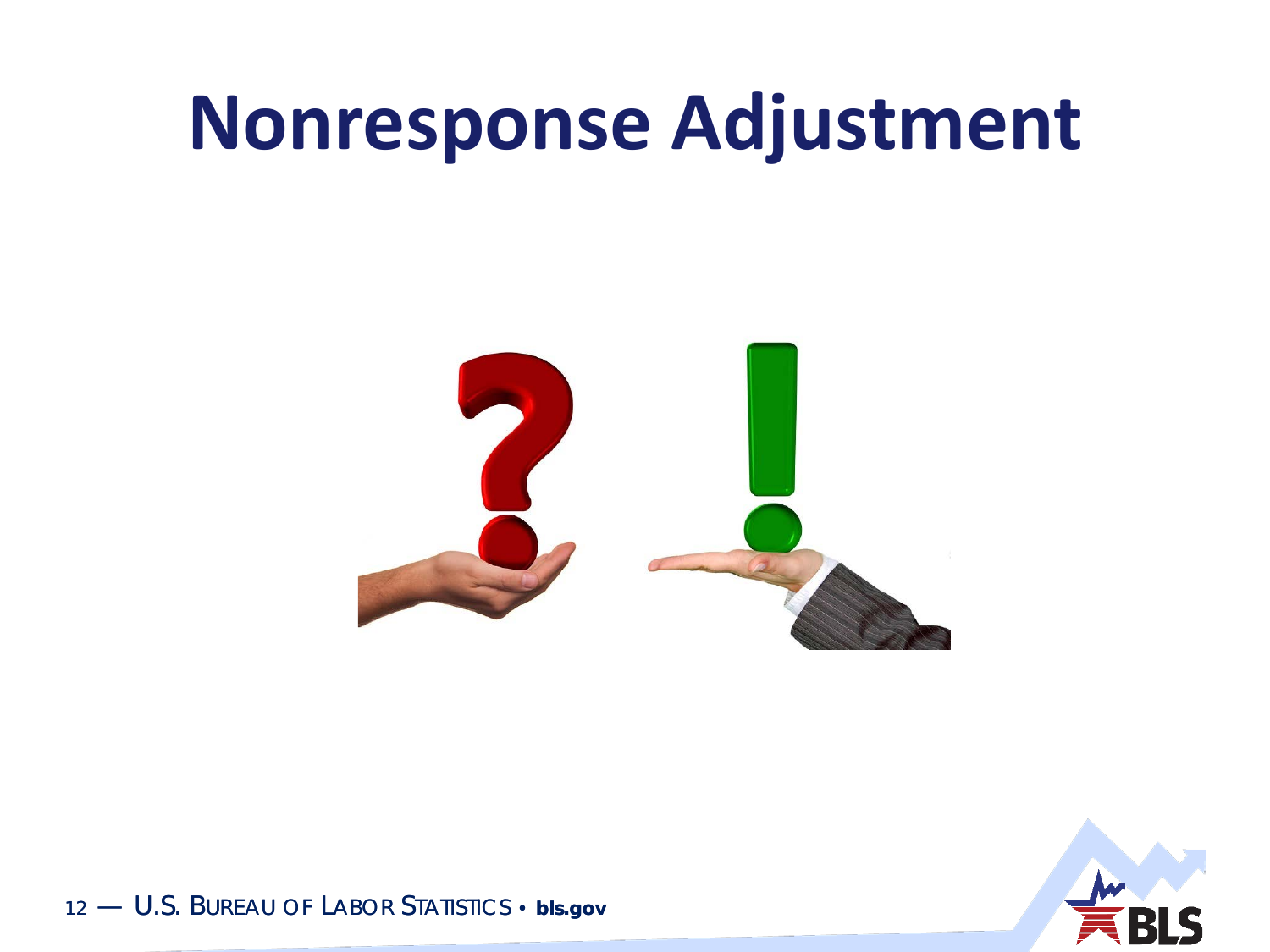#### **Nonresponse Adjustment**



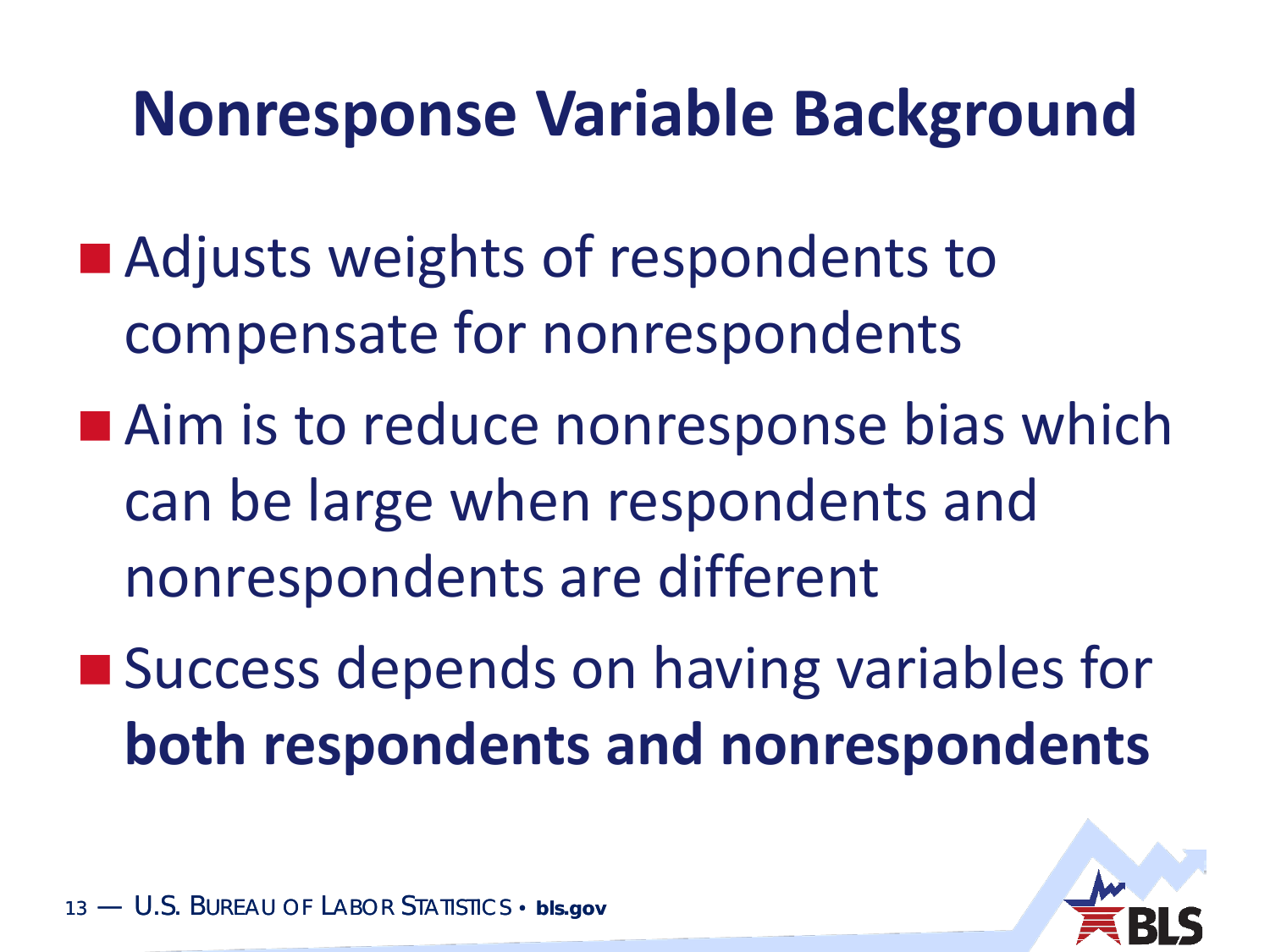#### **Nonresponse Variable Background**

- Adjusts weights of respondents to compensate for nonrespondents
- Aim is to reduce nonresponse bias which can be large when respondents and nonrespondents are different
- Success depends on having variables for **both respondents and nonrespondents**

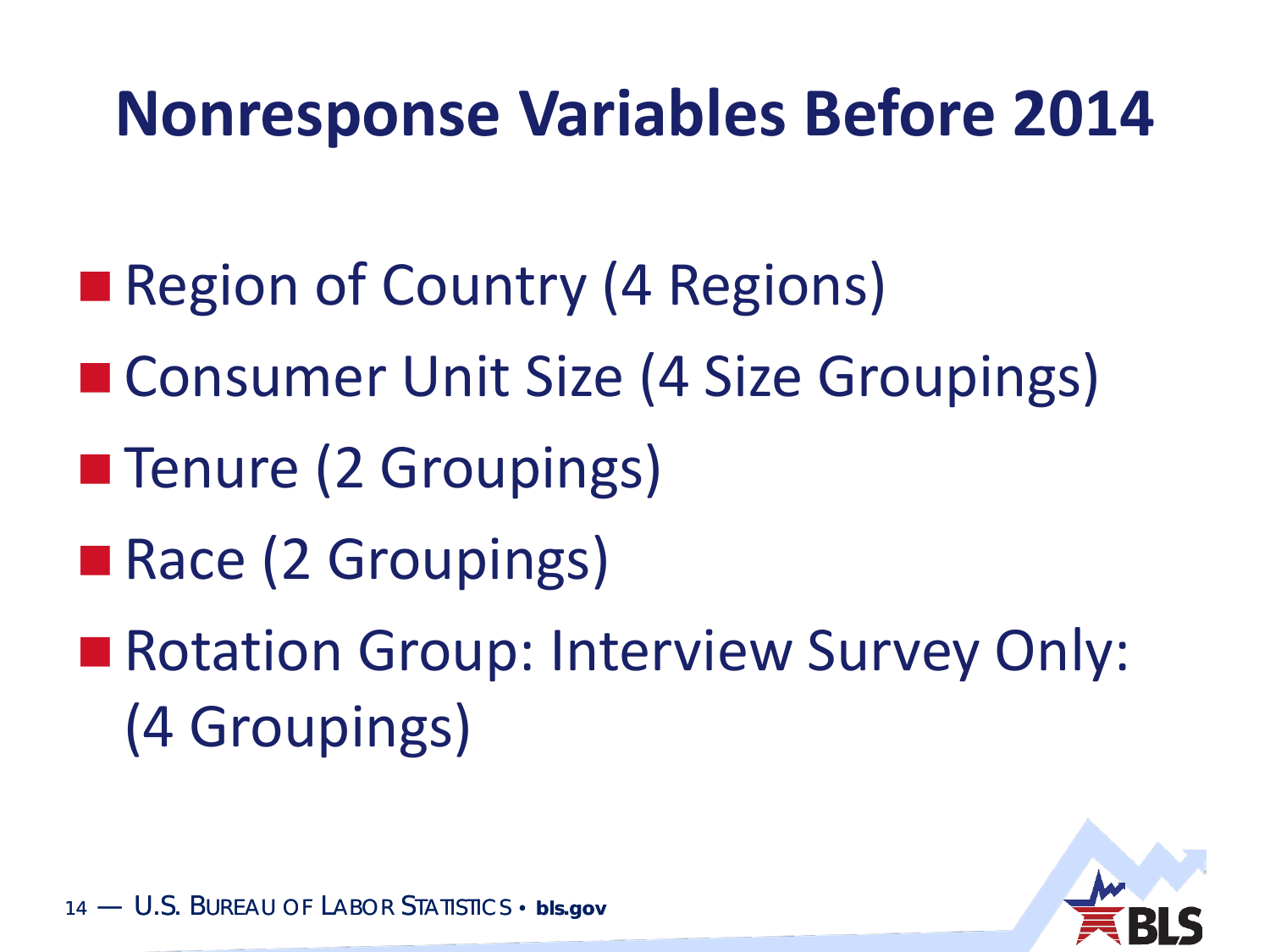#### **Nonresponse Variables Before 2014**

- Region of Country (4 Regions)
- Consumer Unit Size (4 Size Groupings)
- **The Tenure (2 Groupings)**
- Race (2 Groupings)
- Rotation Group: Interview Survey Only: (4 Groupings)

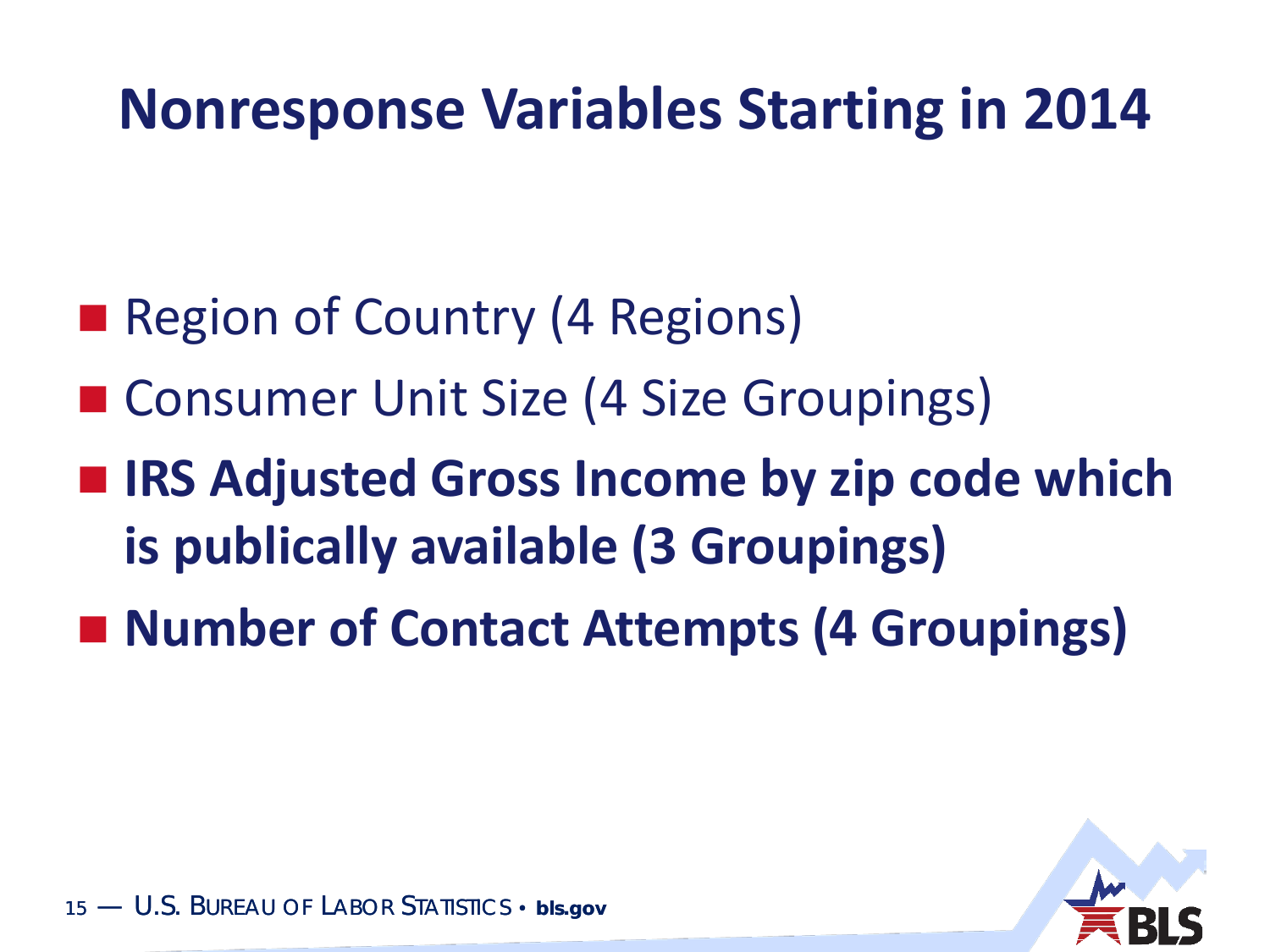#### **Nonresponse Variables Starting in 2014**

- Region of Country (4 Regions)
- Consumer Unit Size (4 Size Groupings)
- IRS Adjusted Gross Income by zip code which **is publically available (3 Groupings)**
- Number of Contact Attempts (4 Groupings)

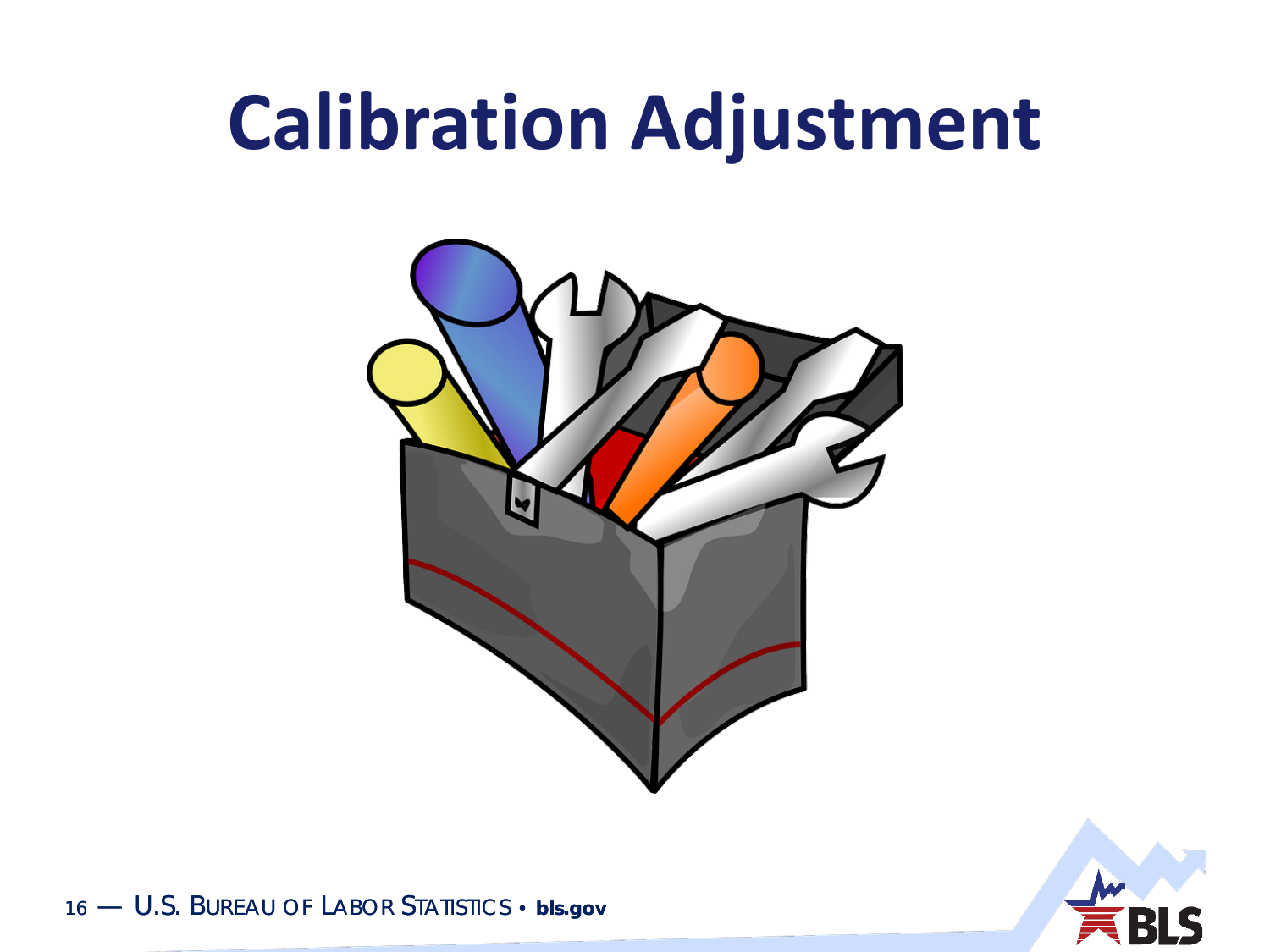#### **Calibration Adjustment**



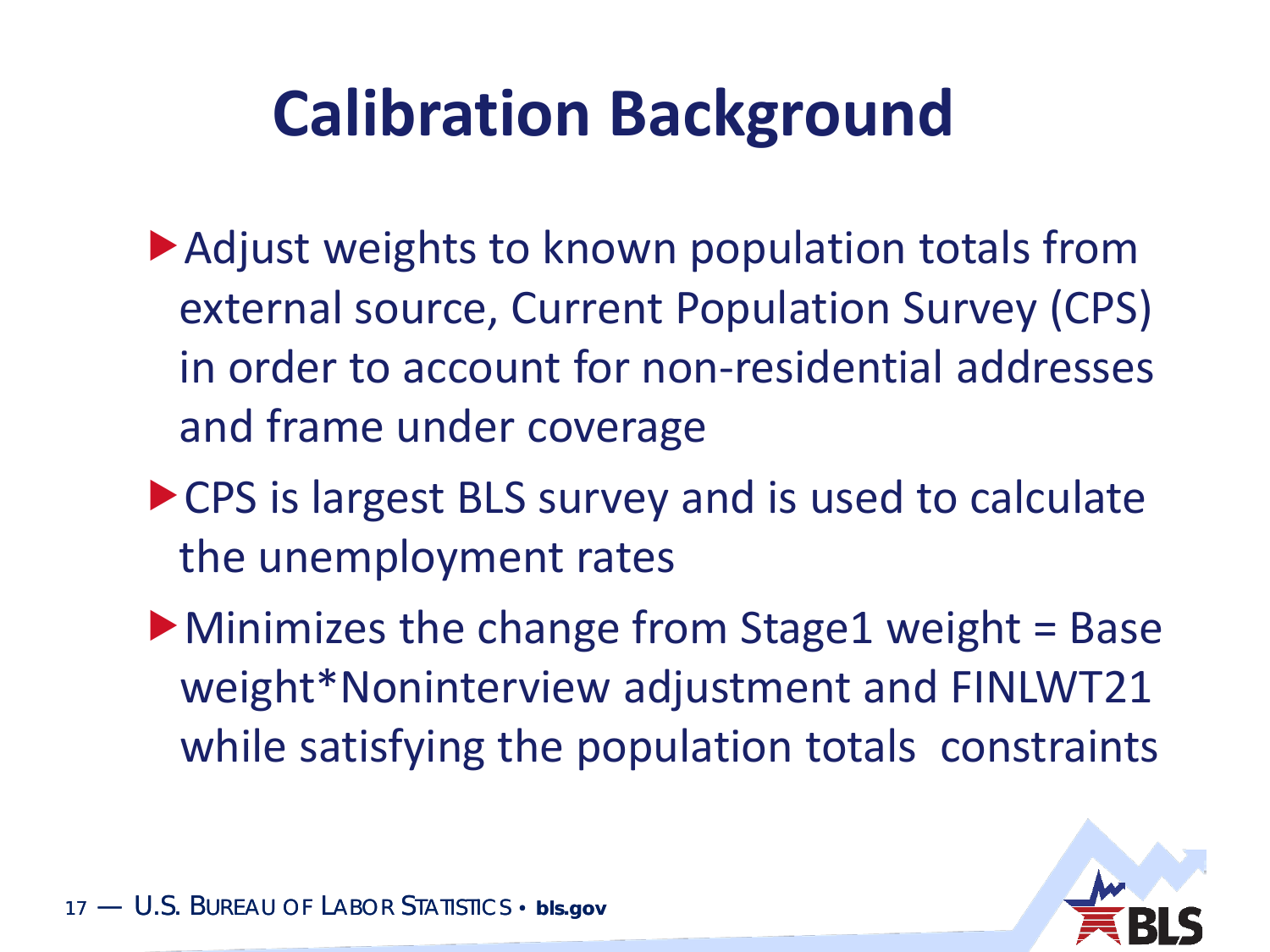#### **Calibration Background**

- ▶ Adjust weights to known population totals from external source, Current Population Survey (CPS) in order to account for non-residential addresses and frame under coverage
- ▶ CPS is largest BLS survey and is used to calculate the unemployment rates
- $\blacktriangleright$  Minimizes the change from Stage1 weight = Base weight\*Noninterview adjustment and FINLWT21 while satisfying the population totals constraints

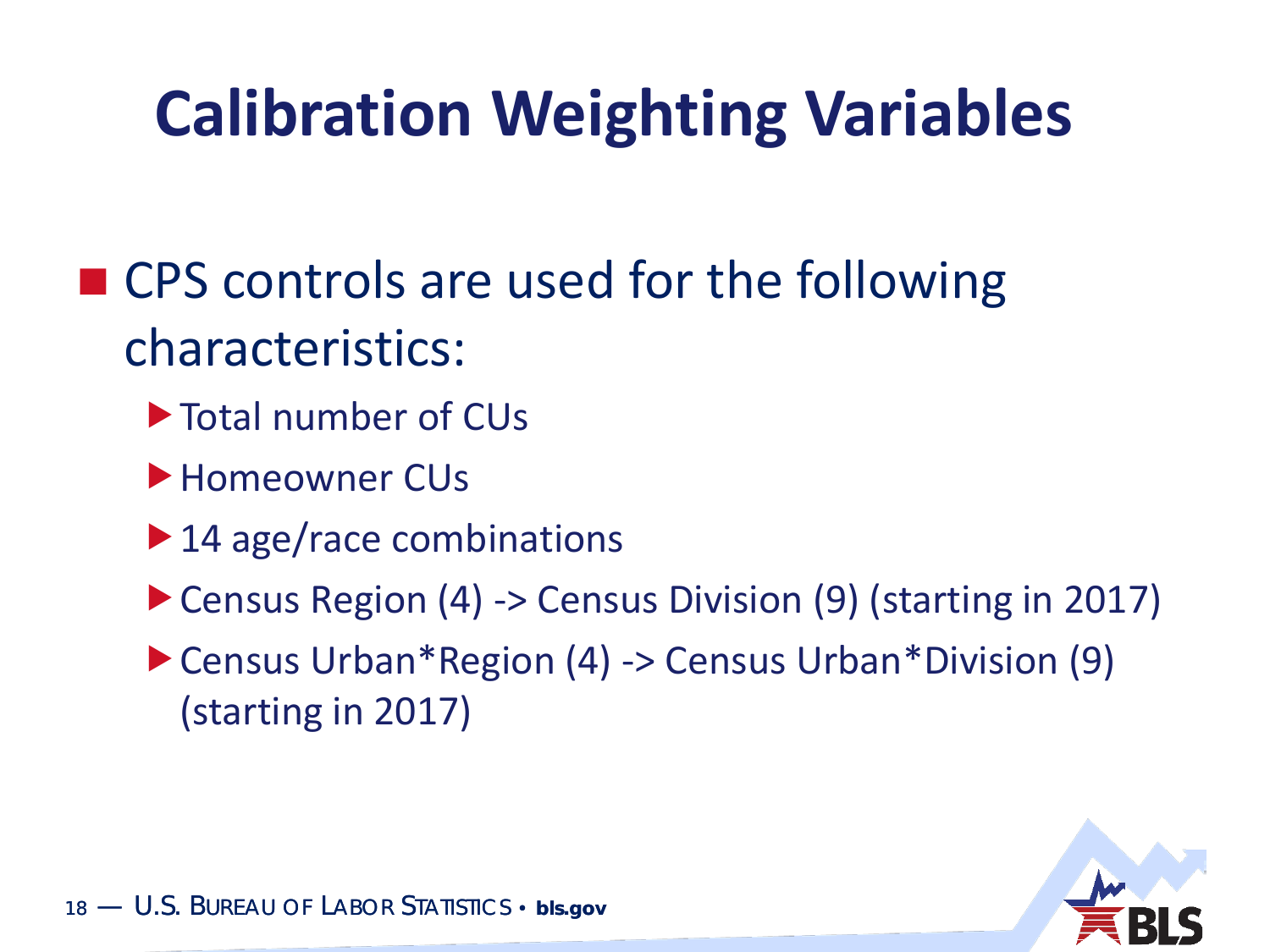#### **Calibration Weighting Variables**

- CPS controls are used for the following characteristics:
	- ▶ Total number of CUs
	- ▶ Homeowner CUs
	- ▶ 14 age/race combinations
	- ▶ Census Region (4) -> Census Division (9) (starting in 2017)
	- ▶ Census Urban\*Region (4) -> Census Urban\*Division (9) (starting in 2017)

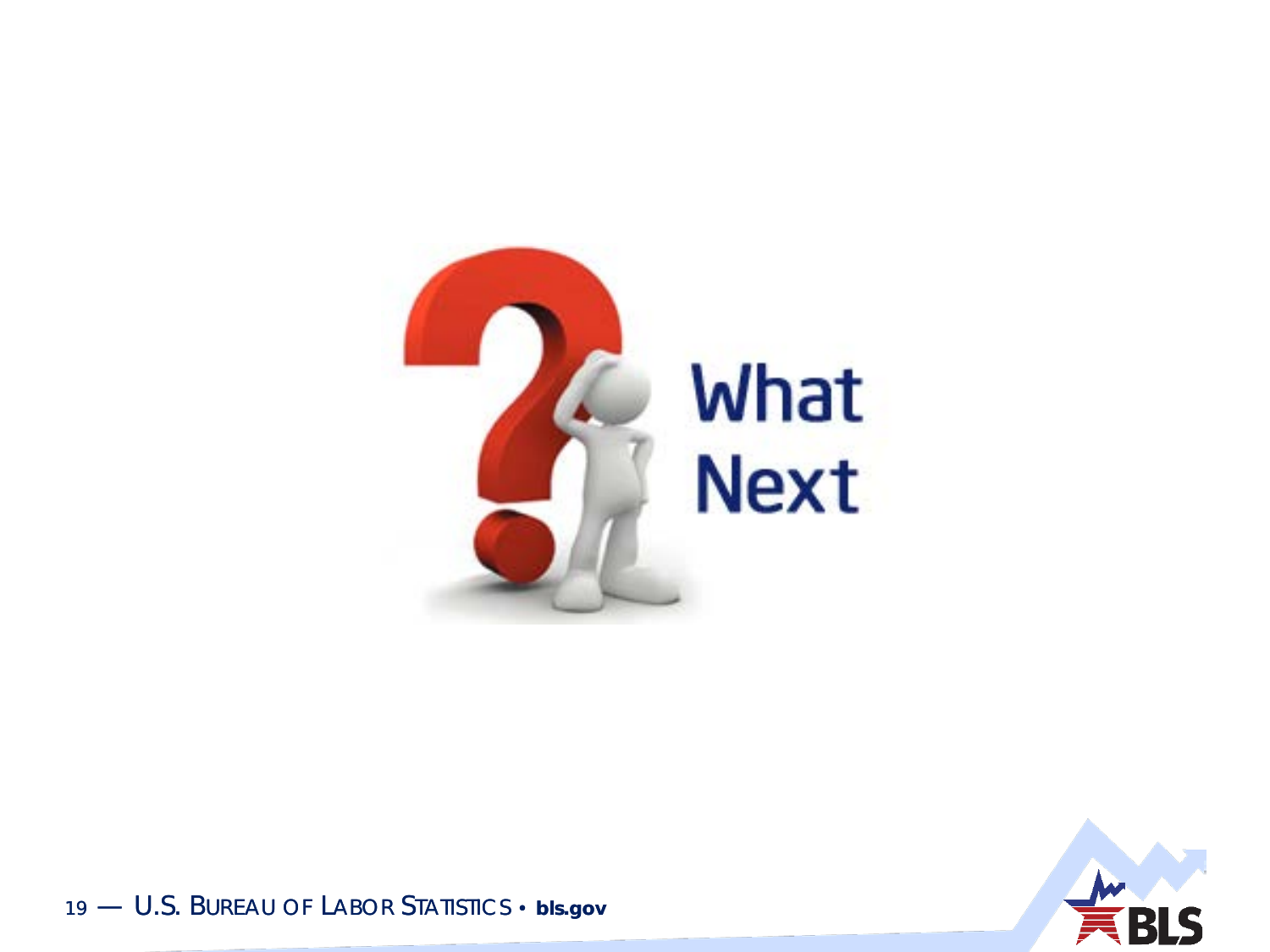



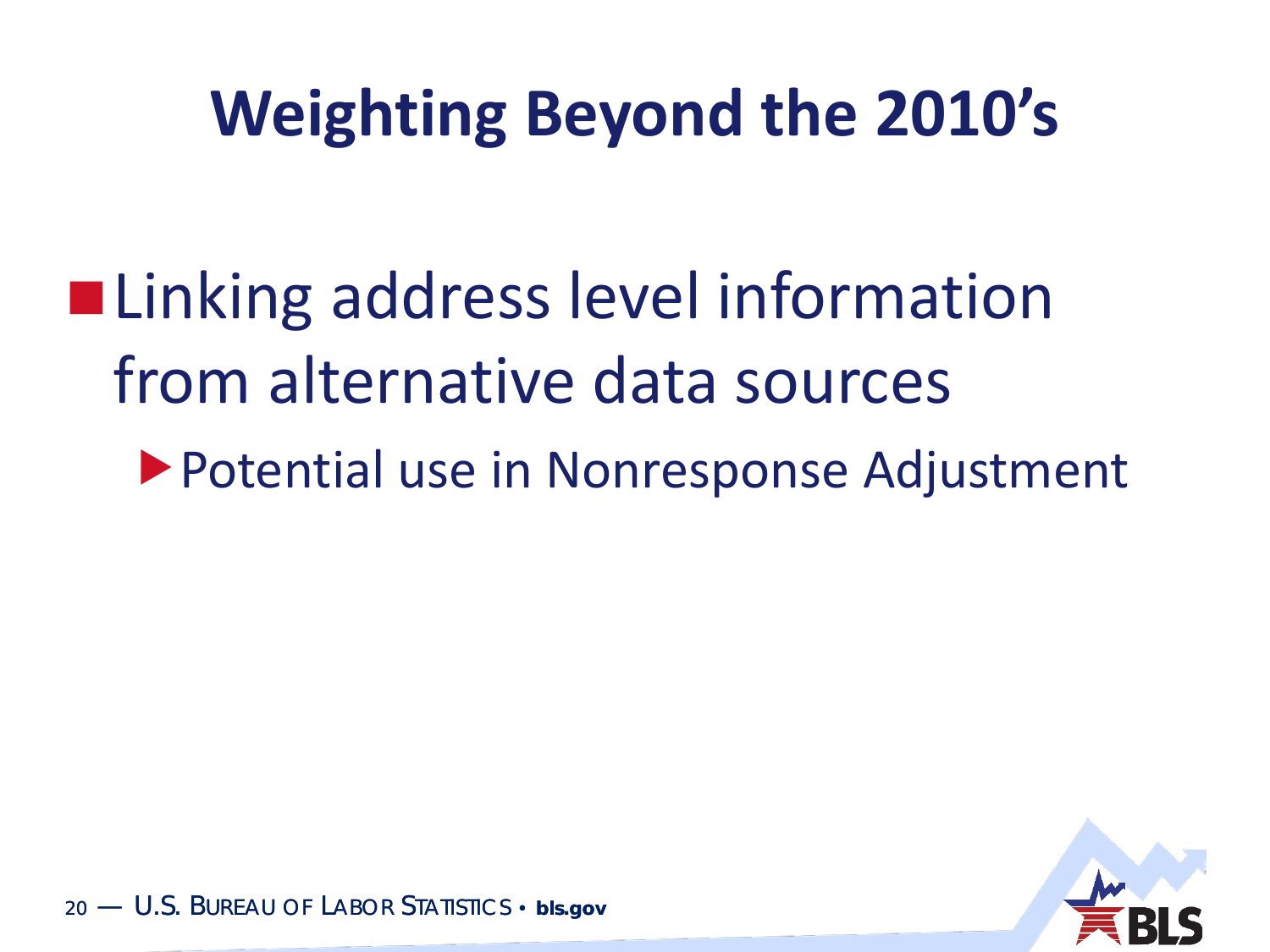#### **Weighting Beyond the 2010's**

- **ELinking address level information** from alternative data sources
	- Potential use in Nonresponse Adjustment